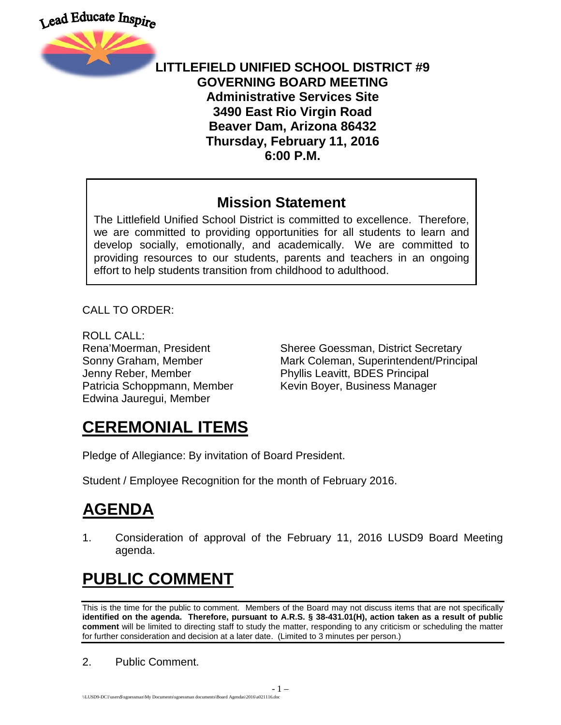



#### **LITTLEFIELD UNIFIED SCHOOL DISTRICT #9 GOVERNING BOARD MEETING Administrative Services Site 3490 East Rio Virgin Road Beaver Dam, Arizona 86432 Thursday, February 11, 2016 6:00 P.M.**

#### **Mission Statement**

The Littlefield Unified School District is committed to excellence. Therefore, we are committed to providing opportunities for all students to learn and develop socially, emotionally, and academically. We are committed to providing resources to our students, parents and teachers in an ongoing effort to help students transition from childhood to adulthood.

CALL TO ORDER:

ROLL CALL: Jenny Reber, Member Phyllis Leavitt, BDES Principal Edwina Jauregui, Member

Rena'Moerman, President Sheree Goessman, District Secretary Sonny Graham, Member **Mark Coleman, Superintendent/Principal** Patricia Schoppmann, Member Kevin Boyer, Business Manager

## **CEREMONIAL ITEMS**

Pledge of Allegiance: By invitation of Board President.

Student / Employee Recognition for the month of February 2016.

# **AGENDA**

1. Consideration of approval of the February 11, 2016 LUSD9 Board Meeting agenda.

# **PUBLIC COMMENT**

This is the time for the public to comment. Members of the Board may not discuss items that are not specifically **identified on the agenda. Therefore, pursuant to A.R.S. § 38-431.01(H), action taken as a result of public comment** will be limited to directing staff to study the matter, responding to any criticism or scheduling the matter for further consideration and decision at a later date. (Limited to 3 minutes per person.)

2. Public Comment.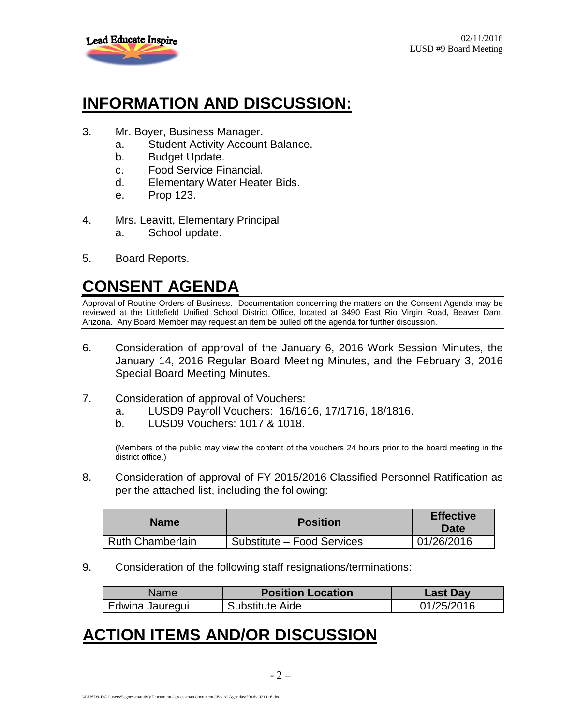

## **INFORMATION AND DISCUSSION:**

- 3. Mr. Boyer, Business Manager.
	- a. Student Activity Account Balance.
	- b. Budget Update.
	- c. Food Service Financial.
	- d. Elementary Water Heater Bids.
	- e. Prop 123.
- 4. Mrs. Leavitt, Elementary Principal a. School update.
- 5. Board Reports.

# **CONSENT AGENDA**

Approval of Routine Orders of Business. Documentation concerning the matters on the Consent Agenda may be reviewed at the Littlefield Unified School District Office, located at 3490 East Rio Virgin Road, Beaver Dam, Arizona. Any Board Member may request an item be pulled off the agenda for further discussion.

- 6. Consideration of approval of the January 6, 2016 Work Session Minutes, the January 14, 2016 Regular Board Meeting Minutes, and the February 3, 2016 Special Board Meeting Minutes.
- 7. Consideration of approval of Vouchers:
	- a. LUSD9 Payroll Vouchers: 16/1616, 17/1716, 18/1816.
	- b. LUSD9 Vouchers: 1017 & 1018.

(Members of the public may view the content of the vouchers 24 hours prior to the board meeting in the district office.)

8. Consideration of approval of FY 2015/2016 Classified Personnel Ratification as per the attached list, including the following:

| <b>Name</b>      | <b>Position</b>            | <b>Effective</b><br>Date |
|------------------|----------------------------|--------------------------|
| Ruth Chamberlain | Substitute – Food Services | 01/26/2016               |

9. Consideration of the following staff resignations/terminations:

| Namel           | <b>Position Location</b> | <b>Last Day</b> |
|-----------------|--------------------------|-----------------|
| Edwina Jauregui | Substitute Aide          | 01/25/2016      |

#### **ACTION ITEMS AND/OR DISCUSSION**